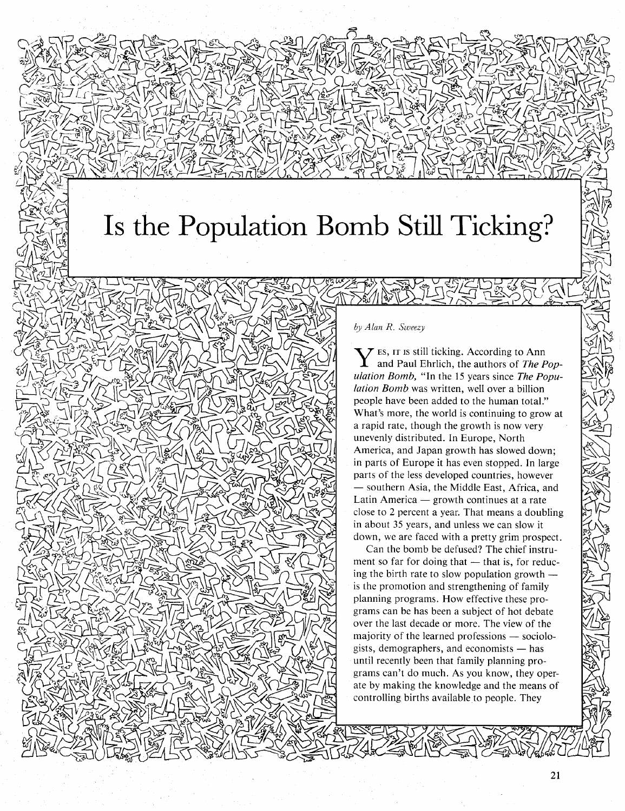## **Is the Population Bomb Still Ticking?**

## *by Alan R. Sweezy*

Y ES, IT IS still ticking. According to Ann and Paul Ehrlich, the authors of *The Population Bomb,* "In the 15 years since *The Population Bomb* was written, well over a billion people have been added to the human total." What's more, the world is continuing to grow at a rapid rate, though the growth is now very unevenly distributed. In Europe, North America, and Japan growth has slowed down; in parts of Europe it has even stopped. In large parts of the less developed countries, however - southern Asia, the Middle East, Africa, and Latin America  $-$  growth continues at a rate close to 2 percent a year. That means a doubling in about 35 years, and unless we can slow it down, we are faced with a pretty grim prospect.

Can the bomb be defused? The chief instrument so far for doing that - that is, for reducing the birth rate to slow population growth  $$ is the promotion and strengthening of family planning programs. How effective these programs can be has been a subject of hot debate over the last decade or more. The view of the majority of the learned professions  $-$  sociologists, demographers, and economists  $-$  has until recently been that family planning programs can't do much. As you know, they operate by making the knowledge and the means of controlling births available to people. They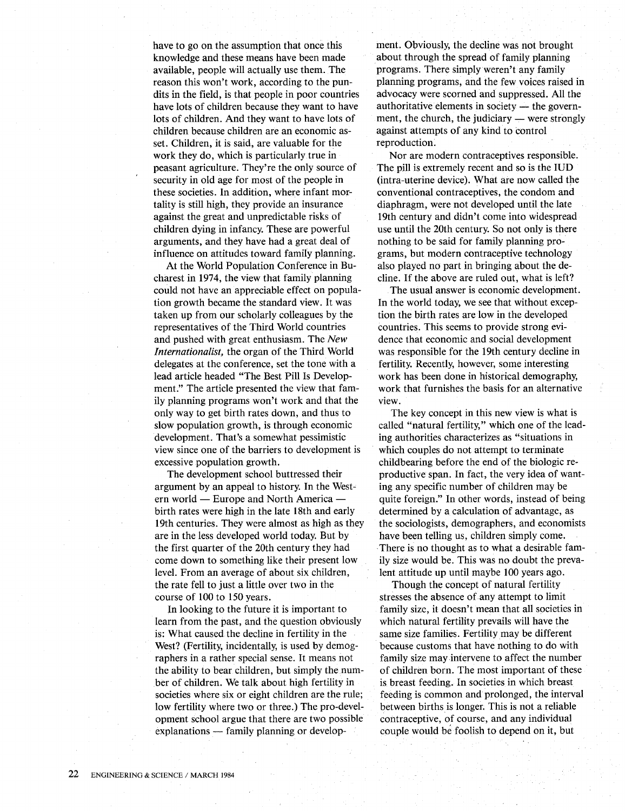have to go on the assumption that once this knowledge and these means have been made available, people will actually use them. The reason this won't work, according to the pundits in the field, is that people in poor countries have lots of children because they want to have lots of children. And they want to have lots of children because children are an economic asset. Children, it is said, are valuable for the work they do, which is particularly true in peasant agriculture. They're the only source of security in old age for most of the people in these societies. In addition, where infant mortality is still high, they provide an insurance against the great and unpredictable risks of children dying in infancy. These are powerful arguments, and they have had a great deal of influence on attitudes toward family planning.

At the World Population Conference in Bucharest in 1974, the view that family planning could not have an appreciable effect on population growth became the standard view. It was taken up from our scholarly colleagues by the representatives of the Third World countries and pushed with great enthusiasm. The *New Internationalist,* the organ of the Third World delegates at the conference, set the tone with a lead article headed "The Best Pill Is Development." The article presented the view that family planning programs won't work and that the only way to get birth rates down, and thus to slow population growth, is through economic development. That's a somewhat pessimistic view since one of the barriers to development is excessive population growth.

The development school buttressed their argument by an appeal to history. In the Western world - Europe and North America birth rates were high in the late 18th and early 19th centuries. They were almost as high as they are in the less developed world today. But by the first quarter of the 20th century they had come down to something like their present low level. From an average of about six children, the rate fell to just a little over two in the course of 100 to 150 years.

In looking to the future it is important to learn from the past, and the question obviously is: What caused the decline in fertility in the West? (Fertility, incidentally, is used by demographers in a rather special sense. It means not the ability to bear children, but simply the number of children. We talk about high fertility in societies where six or eight children are the rule; low fertility where two or three.) The pro-development school argue that there are two possible  $explanations$  - family planning or development. Obviously, the decline was not brought about through the spread of family planning programs. There simply weren't any family planning programs, and the few voices raised in advocacy were scorned and suppressed. All the authoritative elements in society  $-$  the government, the church, the judiciary  $-$  were strongly against attempts of any kind to control reproduction.

Nor are modern contraceptives responsible. The pill is extremely recent and so is the IUD (intra-uterine device). What are now called the conventional contraceptives, the condom and diaphragm, were not developed until the late 19th century and didn't come into widespread use until the 20th century. So not only is there nothing to be said for family planning programs, but modern contraceptive technology also played no part in bringing about the decline. If the above are ruled out, what is left?

The usual answer is economic development. In the world today, we see that without exception the birth rates are low in the developed countries. This seems to provide strong evidence that economic and social development was responsible for the 19th century decline in fertility. Recently, however, some interesting work has been done in historical demography, work that furnishes the basis for an alternative view.

The key concept in this new view is what is called "natural fertility," which one of the leading authorities characterizes as "situations in which couples do not attempt to terminate childbearing before the end of the biologic reproductive span. In fact, the very idea of wanting any specific number of children may be quite foreign." In other words, instead of being determined by a calculation of advantage, as the sociologists, demographers, and economists have been telling us, children simply come. . There is no thought as to what a desirable family size would be. This was no doubt the prevalent attitude up until maybe 100 years ago.

Though the concept of natural fertility stresses the absence of any attempt to limit family size, it doesn't mean that all societies in which natural fertility prevails will have the same size families. Fertility may be different because customs that have nothing to do with family size may intervene to affect the number of children born. The most important of these is breast feeding. In societies in which breast feeding is common and prolonged, the interval between births is longer. This is not a reliable contraceptive, of course, and any individual couple would be foolish to depend on it, but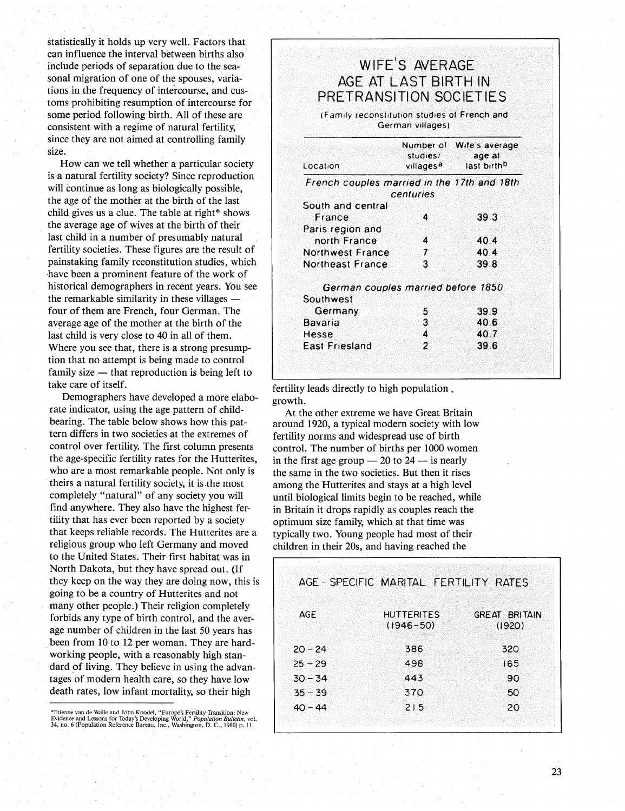statistically it holds up very well. Factors that can influence the interval between births also include periods of separation due to the seasonal migration of one of the spouses, variations in the frequency of intercourse, and customs prohibiting resumption of intercourse for some period following birth. All of these are consistent with a regime of natural fertility, since they are not aimed at controlling family size.

How can we tell whether a particular society is a natural fertility society? Since reproduction will continue as long as biologically possible, the age of the mother at the birth of the last child gives us a clue. The table at right\* shows the average age of wives at the birth of their last child in a number of presumably natural fertility societies. These figures are the result of painstaking family reconstitution studies, which have been a prominent feature of the work of historical demographers in recent years. You see the remarkable similarity in these villages  $$ four of them are French, four German. The average age of the mother at the birth of the last child is very close to 40 in all of them. Where you see that, there is a strong presumption that no attempt is being made to control family size  $-$  that reproduction is being left to take care of itself.

Demographers have developed a more elaborate indicator, using the age pattern of childbearing. The table below shows how this pattern differs in two societies at the extremes of control over fertility. The first column presents the age-specific fertility rates for the Hutterites, who are a most remarkable people. Not only is theirs a natural fertility society, it is.the most completely "natural" of any society you will find anywhere. They also have the highest fertility that has ever been reported by a society that keeps reliable records. The Hutterites are a religious group who left Germany and moved to the United States. Their first habitat was in North Dakota, but they have spread out. (If they keep on the way they are doing now, this is going to be a country of Hutterites and not many other people.) Their religion completely forbids any type of birth control, and the average number of children in the last 50 years has been from 10 to 12 per woman. They are hardworking people, with a reasonably high standard of living. They believe in using the advantages of modern health care, so they have low death rates, low infant mortality, so their high

| PRETRANSITION SOCIETIES                      |                  | AGE AT LAST BIRTH IN                                                                |
|----------------------------------------------|------------------|-------------------------------------------------------------------------------------|
| (Family reconstitution studies of French and | German villages) |                                                                                     |
| Location                                     | studies/         | Number of Wife's average<br>age at<br>villages <sup>a</sup> last birth <sup>b</sup> |
| French couples married in the 17th and 18th  |                  |                                                                                     |
|                                              | centuries        |                                                                                     |
| South and central                            |                  |                                                                                     |
| France                                       | 4                | 39.3                                                                                |
| Paris region and                             | 4                | 40.4                                                                                |
| north France<br><b>Northwest France</b>      |                  | 404                                                                                 |
| <b>Northeast France</b>                      | 7<br>٦           | 39.8                                                                                |
| German couples married before 1850           |                  |                                                                                     |
| Southwest                                    |                  |                                                                                     |
| Germany                                      | 5                | 39.9                                                                                |
| Bavaria                                      | 3                | 40.6                                                                                |
| Hesse                                        | 4                | 40.7                                                                                |
| <b>East Friesland</b>                        | 2                | 39.6                                                                                |

fertility leads directly to high population. growth.

At the other extreme we have Great Britain around 1920, a typical modern society with low fertility norms and widespread use of birth control. The number of births per 1000 women in the first age group  $-20$  to  $24 -$  is nearly the same in the two societies. But then it rises among the Hutterites and stays at a high level until biological limits begin to be reached, while in Britain it drops rapidly as couples reach the optimum size family, which at that time was typically two. Young people had most of their children in their 20s, and having reached the

|           | AGE-SPECIFIC MARITAL FERTILITY RATES |                                |
|-----------|--------------------------------------|--------------------------------|
| AGE       | <b>HUTTERITES</b><br>$(1946 - 50)$   | <b>GREAT BRITAIN</b><br>(1920) |
| $20 - 24$ | 386                                  | 320                            |
| $25 - 29$ | 498                                  | 165                            |
| $30 - 34$ | 443                                  | 90                             |
| $35 - 39$ | 370                                  | 50                             |
| $40 - 44$ | 215                                  | 20                             |

<sup>\*</sup>Etienne van de Walle and John Knodel, "Europe's Fertility Transition: New<br>Evidence and Lessons for Today's Developing World," *Population Bulletin*, vol.<br>34, no. 6 (Population Reference Bureau, Inc., Washington, D*. C.*,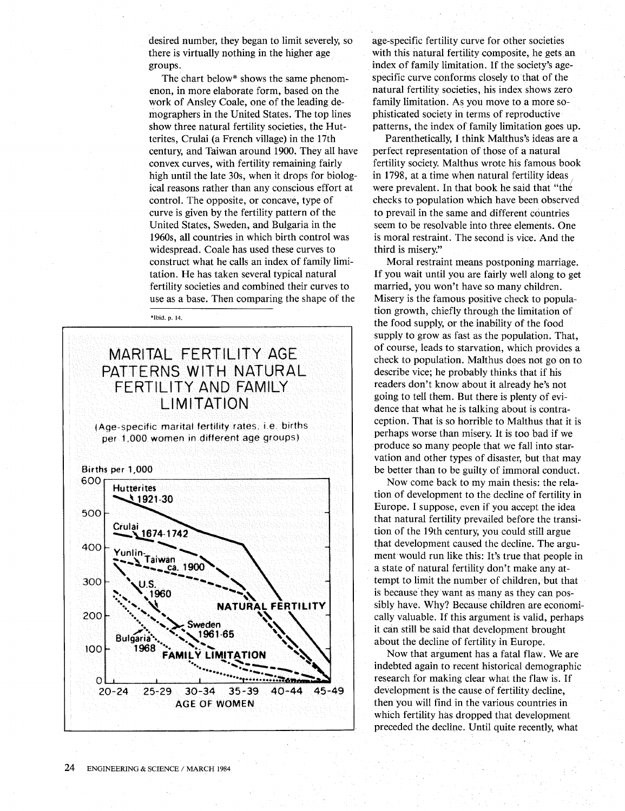desired number, they began to limit severely, so there is virtually nothing in the higher age groups.

The chart below\* shows the same phenomenon, in more elaborate form, based on the work of Ansley Coale, one of the leading demographers in the United States. The top lines show three natural fertility societies, the Hutterites, Crulai (a French village) in the 17th century, and Taiwan around 1900. They all have convex curves, with fertility remaining fairly high until the late 30s, when it drops for biological reasons rather than any conscious effort at control. The opposite, or concave, type of curve is given by the fertility pattern of the United States, Sweden, and Bulgaria in the 1960s, all countries in which birth control was widespread. Coale has used these curves to construct what he calls an index of family limitation. He has taken several typical natural fertility societies and combined their curves to use as a base. Then comparing the shape of the

\*Ibid. p. 14.

## MARITAL FERTILITY AGE PATTERNS WITH NATURAL FERTILITY AND FAMILY LIMITATION

(Age-specific marital fertility rates. ie births per 1,000 women in different age groups)



age-specific fertility curve for other societies with this natural fertility composite, he gets an index of family limitation. If the society's agespecific curve conforms closely to that of the natural fertility societies, his index shows zero family limitation. As you move to a more sophisticated society in terms of reproductive patterns, the index of family limitation goes up.

Parenthetically, I think Malthus's ideas are a perfect representation of those of a natural fertility society. Malthus wrote his famous book in 1798, at a time when natural fertility ideas. were prevalent. In that book he said that "the checks to population which have been observed to prevail in the same and different countries seem to be resolvable into three elements. One is moral restraint. The second is vice. And the third is misery."

Moral restraint means postponing marriage. If you wait until you are fairly well along to get married, you won't have so many children. Misery is the famous positive check to population growth, chiefly through the limitation of the food supply, or the inability of the food supply to grow as fast as the population. That, of course, leads to starvation, which provides a check to population. Malthus does not go on to describe vice; he probably thinks that if his readers don't know about it already he's not going to tell them. But there is plenty of evidence that what he is talking about is contraception. That is so horrible to Malthus that it is perhaps worse than misery. It is too bad if we produce so many people that we fall into starvation and other types of disaster, but that may be better than to be guilty of immoral conduct.

Now come back to my main thesis: the relation of development to the decline of fertility in Europe. I suppose, even if you accept the idea that natural fertility prevailed before the transition of the 19th century, you could still argue that development caused the decline. The argument would run like this: It's true that people in a state of natural fertility don't make any attempt to limit the number of children, but that is because they want as many as they can possibly have. Why? Because children are economically valuable. If this argument is valid, perhaps it can still be said that development brought about the decline of fertility in Europe.

Now that argument has a fatal flaw. We are indebted again to recent historical demographic research for making clear what the flaw is. If development is the cause of fertility decline, then you will find in the various countries in which fertility has dropped that development preceded the decline. Until quite recently, what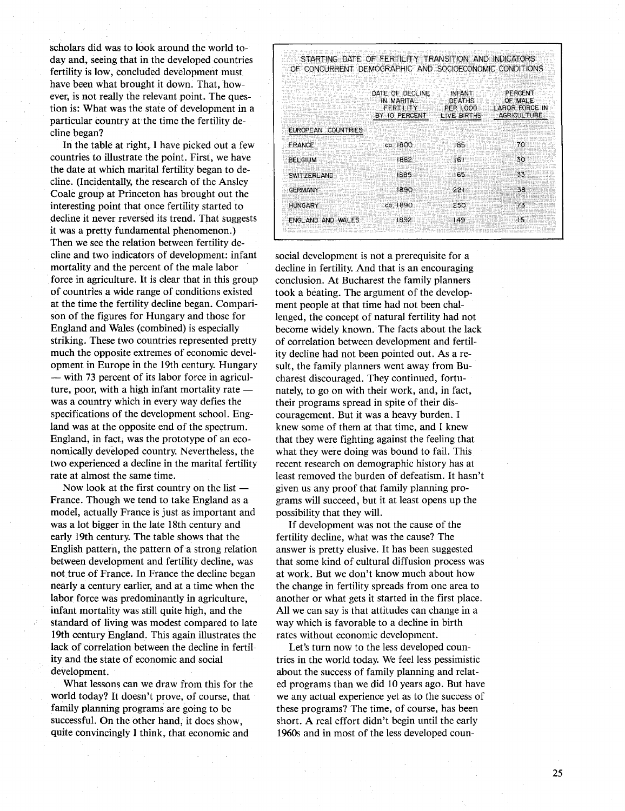scholars did was to look around the world today and, seeing that in the developed countries fertility is low, concluded development must have been what brought it down. That, however, is not really the relevant point. The question is: What was the state of development in a particular country at the time the fertility decline began?

In the table at right, I have picked out a few countries to illustrate the point. First, we have the date at which marital fertility began to decline. (Incidentally, the research of the Ansley Coale group at Princeton has brought out the interesting point that once fertility started to decline it never reversed its trend. That suggests it was a pretty fundamental phenomenon.) Then we see the relation between fertility decline and two indicators of development: infant mortality and the percent of the male labor force in agriculture. It is clear that in this group of countries a wide range of conditions existed at the time the fertility decline began. Comparison of the figures for Hungary and those for England and Wales (combined) is especially striking. These two countries represented pretty much the opposite extremes of economic development in Europe in the 19th century. Hungary - with 73 percent of its labor force in agriculture, poor, with a high infant mortality rate  $$ was a country which in every way defies the specifications of the development school. England was at the opposite end of the spectrum. England, in fact; was the prototype of an economically developed country. Nevertheless, the two experienced a decline in the marital fertility rate at almost the same time.

Now look at the first country on the list  $-$ France. Though we tend to take England as a model, actually France is just as important and was a lot bigger in the late 18th century and early 19th century. The table shows that the English pattern, the pattern of a strong relation between development and fertility decline, was not true of France. In France the decline began nearly a century earlier, and at a time when the labor force was predominantly in agriculture, infant mortality was still quite high, and the standard of living was modest compared to late 19th century England. This again illustrates the lack of correlation between the decline in fertility and the state of economic and social development.

What lessons can we draw from this for the world today? It doesn't prove, of course, that family planning programs are going to be successful. On the other hand, it does show, quite convincingly I think, that economic and

|                                     | DATE OF DECLINE<br>IN MARITAL<br><b>FERTILITY</b><br>BY 10 PERCENT | <b>INFANT</b><br><b>DEATHS</b><br><b>PER 1,000</b><br>LIVE BIRTHS | PERCENT<br>OF MALE<br><b>LABOR FORCE IN</b><br><b>AGRICULTURE</b> |
|-------------------------------------|--------------------------------------------------------------------|-------------------------------------------------------------------|-------------------------------------------------------------------|
| <b>EUROPEAN</b><br><b>COUNTRIES</b> |                                                                    |                                                                   |                                                                   |
| <b>FRANCE</b>                       | $ca$ $1800$                                                        | 185                                                               | 70                                                                |
| <b>BELGIUM</b>                      | 1882                                                               | 161                                                               | 30                                                                |
| SWITZERLAND                         | 1885                                                               | 165                                                               | 33                                                                |
| <b>GERMANY</b>                      | 1890                                                               | $221 -$                                                           | -38                                                               |
| <b>HUNGARY</b>                      | ca.1890                                                            | 250                                                               | 73                                                                |
| ENGLAND AND WALES                   | 1892                                                               | 149                                                               | 15                                                                |

social development is not a prerequisite for a decline in fertility. And that is an encouraging conclusion. At Bucharest the family planners took a beating. The argument of the development people at that time had not been challenged, the concept of natural fertility had not become widely known. The facts about the lack of correlation between development and fertility decline had not been pointed out. As a result, the family planners went away from Bucharest discouraged. They continued, fortunately, to go on with their work, and, in fact, their programs spread in spite of their discouragement. But it was a heavy burden. I knew some of them at that time, and I knew that they were fighting against the feeling that what they were doing was bound to fail. This recent research on demographic history has at least removed the burden of defeatism. It hasn't given us any proof that family planning programs will succeed, but it at least opens up the possibility that they will.

If development was not the cause of the fertility decline, what was the cause? The answer is pretty elusive. It has been suggested that some kind of cultural diffusion process was at work. But we don't know much about how the change in fertility spreads from one area to another or what gets it started in the first place. All we can say is that attitudes can change in a way which is favorable to a decline in birth rates without economic development.

Let's turn now to the less developed countries in the world today. We feel less pessimistic about the success of family planning and related programs than we did 10 years ago. But have we any actual experience yet as to the success of these programs? The time, of course, has been short. A real effort didn't begin until the early 1960s and in most of the less developed coun-